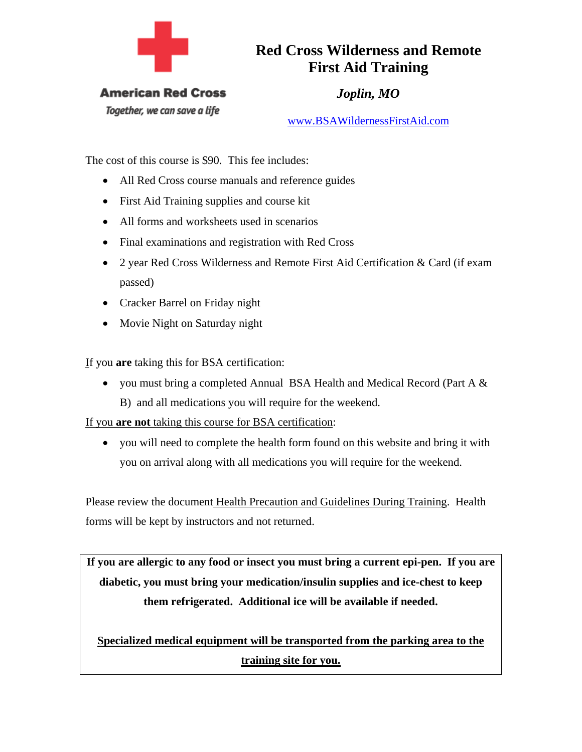

## **Red Cross Wilderness and Remote First Aid Training**

**American Red Cross** 

Together, we can save a life

*Joplin, MO* 

www.BSAWildernessFirstAid.com

The cost of this course is \$90. This fee includes:

- All Red Cross course manuals and reference guides
- First Aid Training supplies and course kit
- All forms and worksheets used in scenarios
- Final examinations and registration with Red Cross
- 2 year Red Cross Wilderness and Remote First Aid Certification & Card (if exam passed)
- Cracker Barrel on Friday night
- Movie Night on Saturday night

If you **are** taking this for BSA certification:

• you must bring a completed Annual BSA Health and Medical Record (Part A  $\&$ B) and all medications you will require for the weekend.

If you **are not** taking this course for BSA certification:

• you will need to complete the health form found on this website and bring it with you on arrival along with all medications you will require for the weekend.

Please review the document Health Precaution and Guidelines During Training. Health forms will be kept by instructors and not returned.

**If you are allergic to any food or insect you must bring a current epi-pen. If you are diabetic, you must bring your medication/insulin supplies and ice-chest to keep them refrigerated. Additional ice will be available if needed.** 

**Specialized medical equipment will be transported from the parking area to the training site for you.**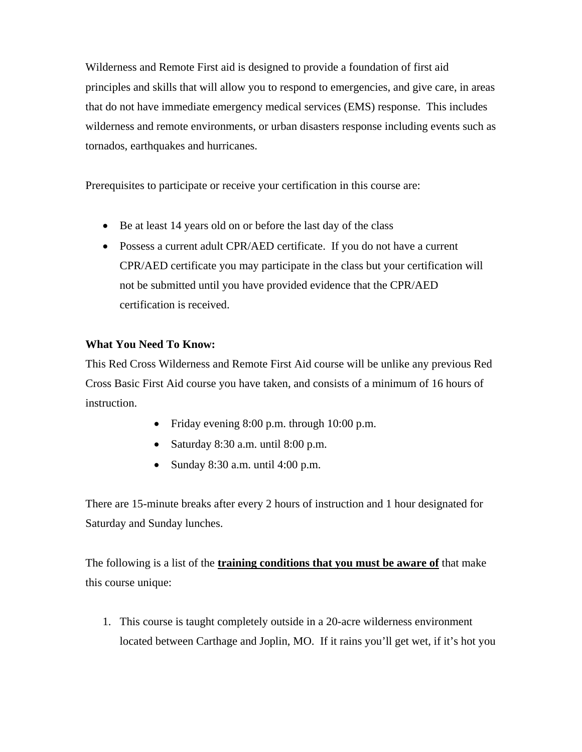Wilderness and Remote First aid is designed to provide a foundation of first aid principles and skills that will allow you to respond to emergencies, and give care, in areas that do not have immediate emergency medical services (EMS) response. This includes wilderness and remote environments, or urban disasters response including events such as tornados, earthquakes and hurricanes.

Prerequisites to participate or receive your certification in this course are:

- Be at least 14 years old on or before the last day of the class
- Possess a current adult CPR/AED certificate. If you do not have a current CPR/AED certificate you may participate in the class but your certification will not be submitted until you have provided evidence that the CPR/AED certification is received.

## **What You Need To Know:**

This Red Cross Wilderness and Remote First Aid course will be unlike any previous Red Cross Basic First Aid course you have taken, and consists of a minimum of 16 hours of instruction.

- Friday evening 8:00 p.m. through 10:00 p.m.
- Saturday 8:30 a.m. until 8:00 p.m.
- Sunday  $8:30$  a.m. until  $4:00$  p.m.

There are 15-minute breaks after every 2 hours of instruction and 1 hour designated for Saturday and Sunday lunches.

The following is a list of the **training conditions that you must be aware of** that make this course unique:

1. This course is taught completely outside in a 20-acre wilderness environment located between Carthage and Joplin, MO. If it rains you'll get wet, if it's hot you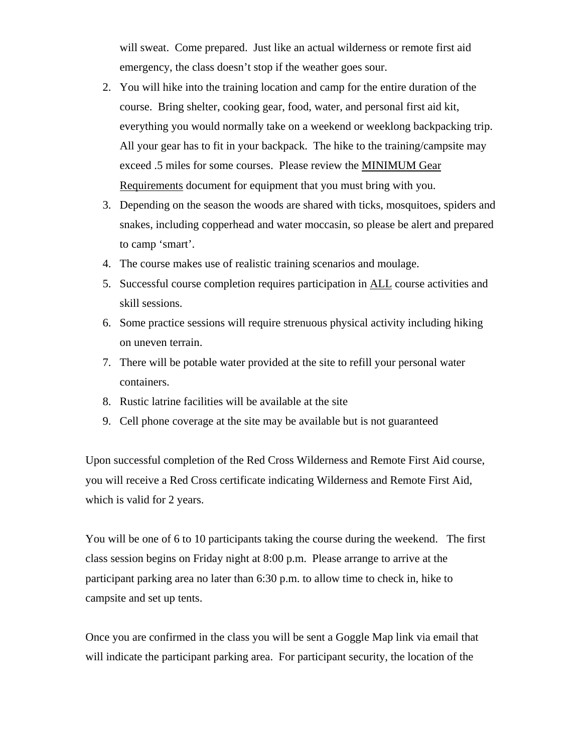will sweat. Come prepared. Just like an actual wilderness or remote first aid emergency, the class doesn't stop if the weather goes sour.

- 2. You will hike into the training location and camp for the entire duration of the course. Bring shelter, cooking gear, food, water, and personal first aid kit, everything you would normally take on a weekend or weeklong backpacking trip. All your gear has to fit in your backpack. The hike to the training/campsite may exceed .5 miles for some courses. Please review the MINIMUM Gear Requirements document for equipment that you must bring with you.
- 3. Depending on the season the woods are shared with ticks, mosquitoes, spiders and snakes, including copperhead and water moccasin, so please be alert and prepared to camp 'smart'.
- 4. The course makes use of realistic training scenarios and moulage.
- 5. Successful course completion requires participation in ALL course activities and skill sessions.
- 6. Some practice sessions will require strenuous physical activity including hiking on uneven terrain.
- 7. There will be potable water provided at the site to refill your personal water containers.
- 8. Rustic latrine facilities will be available at the site
- 9. Cell phone coverage at the site may be available but is not guaranteed

Upon successful completion of the Red Cross Wilderness and Remote First Aid course, you will receive a Red Cross certificate indicating Wilderness and Remote First Aid, which is valid for 2 years.

You will be one of 6 to 10 participants taking the course during the weekend. The first class session begins on Friday night at 8:00 p.m. Please arrange to arrive at the participant parking area no later than 6:30 p.m. to allow time to check in, hike to campsite and set up tents.

Once you are confirmed in the class you will be sent a Goggle Map link via email that will indicate the participant parking area. For participant security, the location of the